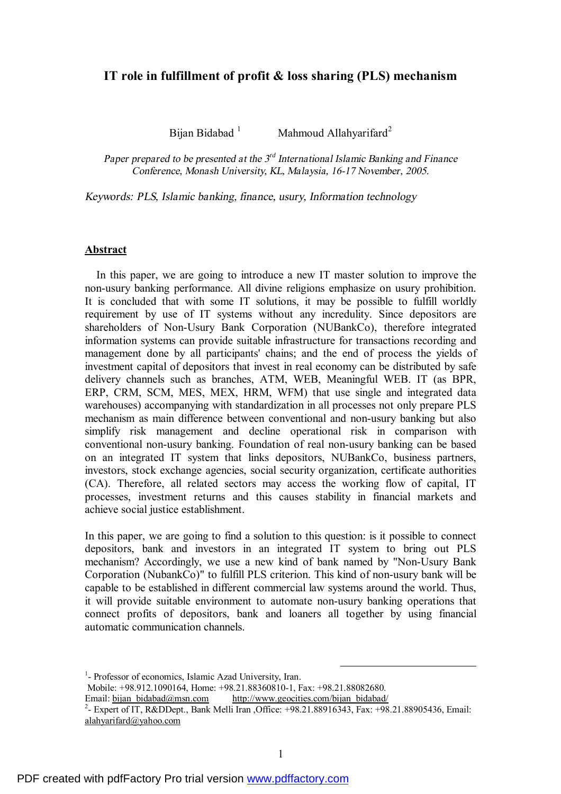# **IT role in fulfillment of profit & loss sharing (PLS) mechanism**

Bijan Bidabad <sup>1</sup> Mahmoud Allahyarifard<sup>2</sup>

*Paper prepared to be presented at the 3 rd International Islamic Banking and Finance Conference, Monash University, KL, Malaysia, 16-17 November, 2005.* 

*Keywords: PLS, Islamic banking, finance, usury, Information technology* 

### **Abstract**

In this paper, we are going to introduce a new IT master solution to improve the non-usury banking performance. All divine religions emphasize on usury prohibition. It is concluded that with some IT solutions, it may be possible to fulfill worldly requirement by use of IT systems without any incredulity. Since depositors are shareholders of Non-Usury Bank Corporation (NUBankCo), therefore integrated information systems can provide suitable infrastructure for transactions recording and management done by all participants' chains; and the end of process the yields of investment capital of depositors that invest in real economy can be distributed by safe delivery channels such as branches, ATM, WEB, Meaningful WEB. IT (as BPR, ERP, CRM, SCM, MES, MEX, HRM, WFM) that use single and integrated data warehouses) accompanying with standardization in all processes not only prepare PLS mechanism as main difference between conventional and non-usury banking but also simplify risk management and decline operational risk in comparison with conventional non-usury banking. Foundation of real non-usury banking can be based on an integrated IT system that links depositors, NUBankCo, business partners, investors, stock exchange agencies, social security organization, certificate authorities (CA). Therefore, all related sectors may access the working flow of capital, IT processes, investment returns and this causes stability in financial markets and achieve social justice establishment.

In this paper, we are going to find a solution to this question: is it possible to connect depositors, bank and investors in an integrated IT system to bring out PLS mechanism? Accordingly, we use a new kind of bank named by "Non-Usury Bank Corporation (NubankCo)" to fulfill PLS criterion. This kind of non-usury bank will be capable to be established in different commercial law systems around the world. Thus, it will provide suitable environment to automate non-usury banking operations that connect profits of depositors, bank and loaners all together by using financial automatic communication channels.

<sup>1</sup>- Professor of economics, Islamic Azad University, Iran. Mobile: +98.912.1090164, Home: +98.21.88360810-1, Fax: +98.21.88082680. Email: [bijan\\_bidabad@msn.com](mailto:bijan_bidabad@msn.com) [http://www.geocities.com/bijan\\_bidabad/](http://www.geocities.com/bijan_bidabad/) <sup>2</sup>- Expert of IT, R&DDept., Bank Melli Iran , Office: +98.21.88916343, Fax: +98.21.88905436, Email: [alahyarifard@yahoo.com](mailto:alahyarifard@yahoo.com)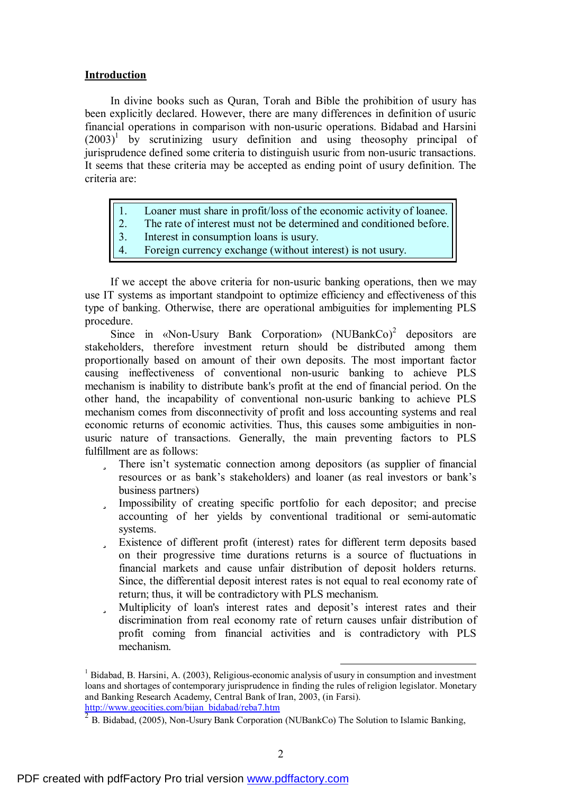## **Introduction**

In divine books such as Quran, Torah and Bible the prohibition of usury has been explicitly declared. However, there are many differences in definition of usuric financial operations in comparison with non-usuric operations. Bidabad and Harsini  $(2003)^1$  by scrutinizing usury definition and using theosophy principal of jurisprudence defined some criteria to distinguish usuric from non-usuric transactions. It seems that these criteria may be accepted as ending point of usury definition. The criteria are:

- 1. Loaner must share in profit/loss of the economic activity of loanee.
- 2. The rate of interest must not be determined and conditioned before.
- 3. Interest in consumption loans is usury.
- 4. Foreign currency exchange (without interest) is not usury.

If we accept the above criteria for non-usuric banking operations, then we may use IT systems as important standpoint to optimize efficiency and effectiveness of this type of banking. Otherwise, there are operational ambiguities for implementing PLS procedure.

Since in «Non-Usury Bank Corporation»  $(NUBankCo)^2$  depositors are stakeholders, therefore investment return should be distributed among them proportionally based on amount of their own deposits. The most important factor causing ineffectiveness of conventional non-usuric banking to achieve PLS mechanism is inability to distribute bank's profit at the end of financial period. On the other hand, the incapability of conventional non-usuric banking to achieve PLS mechanism comes from disconnectivity of profit and loss accounting systems and real economic returns of economic activities. Thus, this causes some ambiguities in nonusuric nature of transactions. Generally, the main preventing factors to PLS fulfillment are as follows:

- ü There isn't systematic connection among depositors (as supplier of financial resources or as bank's stakeholders) and loaner (as real investors or bank's business partners)
- ü Impossibility of creating specific portfolio for each depositor; and precise accounting of her yields by conventional traditional or semi-automatic systems.
- ü Existence of different profit (interest) rates for different term deposits based on their progressive time durations returns is a source of fluctuations in financial markets and cause unfair distribution of deposit holders returns. Since, the differential deposit interest rates is not equal to real economy rate of return; thus, it will be contradictory with PLS mechanism.
- ü Multiplicity of loan's interest rates and deposit's interest rates and their discrimination from real economy rate of return causes unfair distribution of profit coming from financial activities and is contradictory with PLS mechanism.

 $<sup>1</sup>$  Bidabad, B. Harsini, A. (2003), Religious-economic analysis of usury in consumption and investment</sup> loans and shortages of contemporary jurisprudence in finding the rules of religion legislator. Monetary and Banking Research Academy, Central Bank of Iran, 2003, (in Farsi). [http://www.geocities.com/bijan\\_bidabad/reba7.htm](http://www.geocities.com/bijan_bidabad/reba7.htm)

<sup>2</sup> B. Bidabad, (2005), Non-Usury Bank Corporation (NUBankCo) The Solution to Islamic Banking,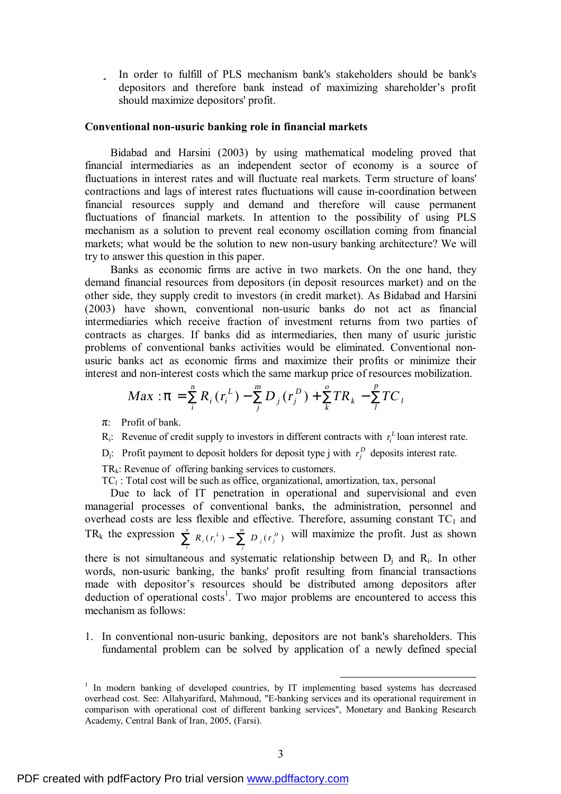ü In order to fulfill of PLS mechanism bank's stakeholders should be bank's depositors and therefore bank instead of maximizing shareholder's profit should maximize depositors' profit.

### **Conventional non-usuric banking role in financial markets**

Bidabad and Harsini (2003) by using mathematical modeling proved that financial intermediaries as an independent sector of economy is a source of fluctuations in interest rates and will fluctuate real markets. Term structure of loans' contractions and lags of interest rates fluctuations will cause in-coordination between financial resources supply and demand and therefore will cause permanent fluctuations of financial markets. In attention to the possibility of using PLS mechanism as a solution to prevent real economy oscillation coming from financial markets; what would be the solution to new non-usury banking architecture? We will try to answer this question in this paper.

Banks as economic firms are active in two markets. On the one hand, they demand financial resources from depositors (in deposit resources market) and on the other side, they supply credit to investors (in credit market). As Bidabad and Harsini (2003) have shown, conventional non-usuric banks do not act as financial intermediaries which receive fraction of investment returns from two parties of contracts as charges. If banks did as intermediaries, then many of usuric juristic problems of conventional banks activities would be eliminated. Conventional nonusuric banks act as economic firms and maximize their profits or minimize their interest and non-interest costs which the same markup price of resources mobilization.

$$
Max: p = \sum_{i}^{n} R_{i}(r_{i}^{L}) - \sum_{j}^{m} D_{j}(r_{j}^{D}) + \sum_{k}^{o} TR_{k} - \sum_{l}^{p} TC_{l}
$$

π: Profit of bank.

- $R_i$ : Revenue of credit supply to investors in different contracts with  $r_i^L$  loan interest rate.
- D<sub>j</sub>: Profit payment to deposit holders for deposit type j with  $r_j^D$  deposits interest rate.

 $TR_k$ : Revenue of offering banking services to customers.

 $TC_1$ : Total cost will be such as office, organizational, amortization, tax, personal

Due to lack of IT penetration in operational and supervisional and even managerial processes of conventional banks, the administration, personnel and overhead costs are less flexible and effective. Therefore, assuming constant  $TC_1$  and TR<sub>k</sub> the expression  $\sum_{i=1}^{n} R_i (r_i^L) - \sum_{i=1}^{m} R_i^L (r_i^L)$ *i j*  $R_i(r_i^L) - \sum_{i=1}^{m} D_i(r_i^D)$  will maximize the profit. Just as shown there is not simultaneous and systematic relationship between  $D_i$  and  $R_i$ . In other

words, non-usuric banking, the banks' profit resulting from financial transactions made with depositor's resources should be distributed among depositors after deduction of operational  $costs<sup>1</sup>$ . Two major problems are encountered to access this mechanism as follows:

1. In conventional non-usuric banking, depositors are not bank's shareholders. This fundamental problem can be solved by application of a newly defined special

<sup>&</sup>lt;sup>1</sup> In modern banking of developed countries, by IT implementing based systems has decreased overhead cost. See: Allahyarifard, Mahmoud, "E-banking services and its operational requirement in comparison with operational cost of different banking services", Monetary and Banking Research Academy, Central Bank of Iran, 2005, (Farsi).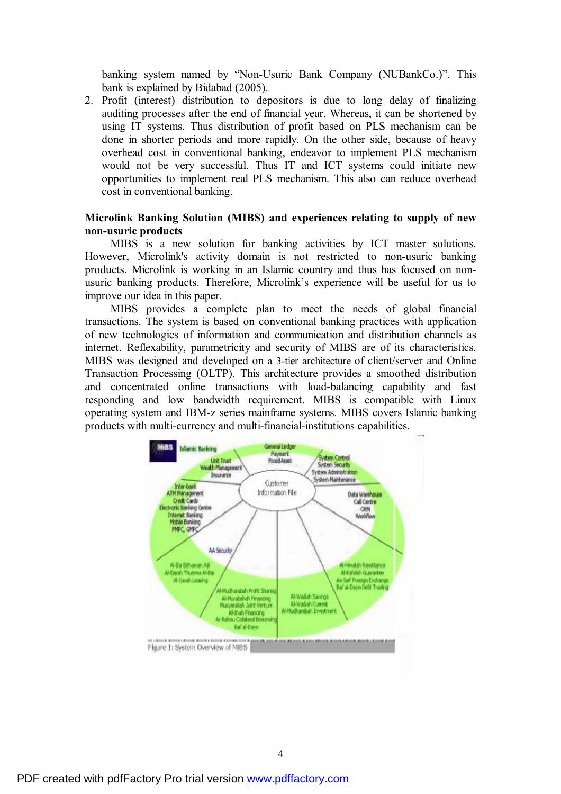banking system named by "Non-Usuric Bank Company (NUBankCo.)". This bank is explained by Bidabad (2005).

2. Profit (interest) distribution to depositors is due to long delay of finalizing auditing processes after the end of financial year. Whereas, it can be shortened by using IT systems. Thus distribution of profit based on PLS mechanism can be done in shorter periods and more rapidly. On the other side, because of heavy overhead cost in conventional banking, endeavor to implement PLS mechanism would not be very successful. Thus IT and ICT systems could initiate new opportunities to implement real PLS mechanism. This also can reduce overhead cost in conventional banking.

# **Microlink Banking Solution (MIBS) and experiences relating to supply of new non-usuric products**

MIBS is a new solution for banking activities by ICT master solutions. However, Microlink's activity domain is not restricted to non-usuric banking products. Microlink is working in an Islamic country and thus has focused on nonusuric banking products. Therefore, Microlink's experience will be useful for us to improve our idea in this paper.

MIBS provides a complete plan to meet the needs of global financial transactions. The system is based on conventional banking practices with application of new technologies of information and communication and distribution channels as internet. Reflexability, parametricity and security of MIBS are of its characteristics. MIBS was designed and developed on a 3-tier architecture of client/server and Online Transaction Processing (OLTP). This architecture provides a smoothed distribution and concentrated online transactions with load-balancing capability and fast responding and low bandwidth requirement. MIBS is compatible with Linux operating system and IBM-z series mainframe systems. MIBS covers Islamic banking products with multi-currency and multi-financial-institutions capabilities.

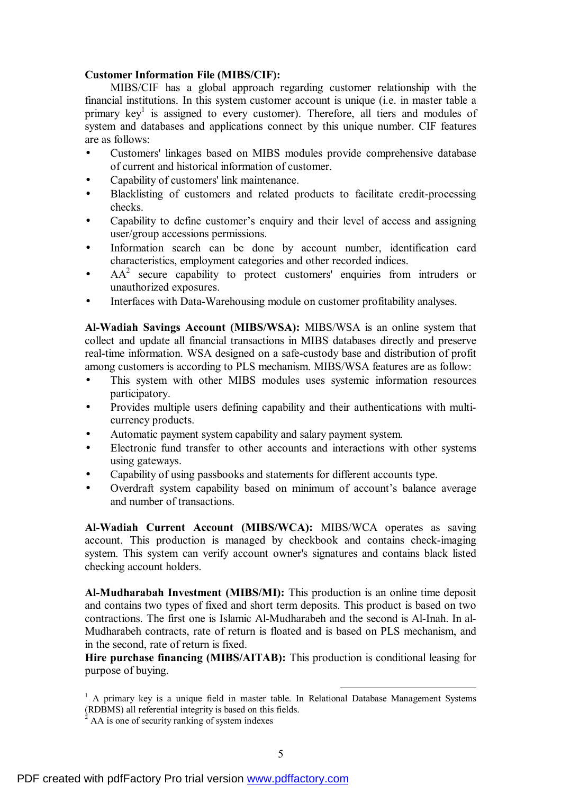# **Customer Information File (MIBS/CIF):**

MIBS/CIF has a global approach regarding customer relationship with the financial institutions. In this system customer account is unique (i.e. in master table a primary key<sup>1</sup> is assigned to every customer). Therefore, all tiers and modules of system and databases and applications connect by this unique number. CIF features are as follows:

- Customers' linkages based on MIBS modules provide comprehensive database of current and historical information of customer.
- Capability of customers' link maintenance.
- Blacklisting of customers and related products to facilitate credit-processing checks.
- Capability to define customer's enquiry and their level of access and assigning user/group accessions permissions.
- Information search can be done by account number, identification card characteristics, employment categories and other recorded indices.
- $AA<sup>2</sup>$  secure capability to protect customers' enquiries from intruders or unauthorized exposures.
- Interfaces with Data-Warehousing module on customer profitability analyses.

**Al-Wadiah Savings Account (MIBS/WSA):** MIBS/WSA is an online system that collect and update all financial transactions in MIBS databases directly and preserve real-time information. WSA designed on a safe-custody base and distribution of profit among customers is according to PLS mechanism. MIBS/WSA features are as follow:

- This system with other MIBS modules uses systemic information resources participatory.
- Provides multiple users defining capability and their authentications with multicurrency products.
- Automatic payment system capability and salary payment system.
- Electronic fund transfer to other accounts and interactions with other systems using gateways.
- Capability of using passbooks and statements for different accounts type.
- Overdraft system capability based on minimum of account's balance average and number of transactions.

**Al-Wadiah Current Account (MIBS/WCA):** MIBS/WCA operates as saving account. This production is managed by checkbook and contains check-imaging system. This system can verify account owner's signatures and contains black listed checking account holders.

**Al-Mudharabah Investment (MIBS/MI):** This production is an online time deposit and contains two types of fixed and short term deposits. This product is based on two contractions. The first one is Islamic Al-Mudharabeh and the second is Al-Inah. In al-Mudharabeh contracts, rate of return is floated and is based on PLS mechanism, and in the second, rate of return is fixed.

**Hire purchase financing (MIBS/AITAB):** This production is conditional leasing for purpose of buying.

 $<sup>1</sup>$  A primary key is a unique field in master table. In Relational Database Management Systems</sup> (RDBMS) all referential integrity is based on this fields.

AA is one of security ranking of system indexes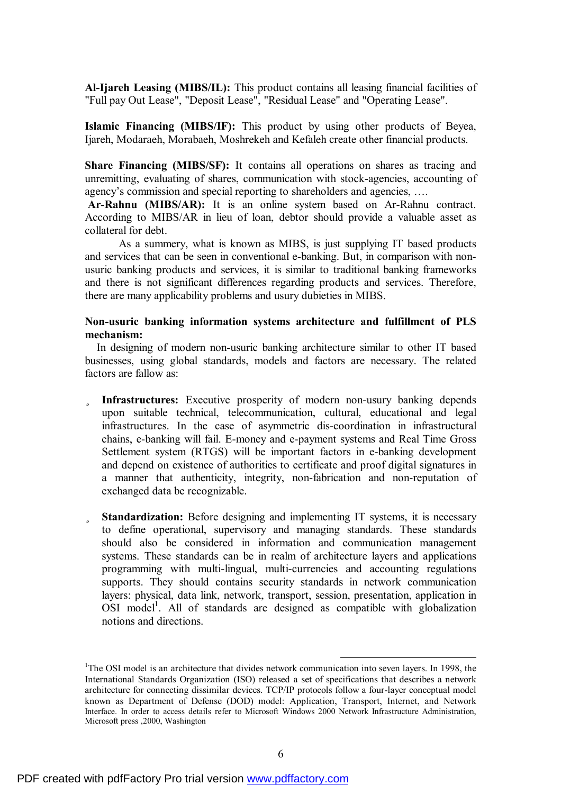**Al-Ijareh Leasing (MIBS/IL):** This product contains all leasing financial facilities of "Full pay Out Lease", "Deposit Lease", "Residual Lease" and "Operating Lease".

**Islamic Financing (MIBS/IF):** This product by using other products of Beyea, Ijareh, Modaraeh, Morabaeh, Moshrekeh and Kefaleh create other financial products.

**Share Financing (MIBS/SF):** It contains all operations on shares as tracing and unremitting, evaluating of shares, communication with stock-agencies, accounting of agency's commission and special reporting to shareholders and agencies, ….

**Ar-Rahnu (MIBS/AR):** It is an online system based on Ar-Rahnu contract. According to MIBS/AR in lieu of loan, debtor should provide a valuable asset as collateral for debt.

As a summery, what is known as MIBS, is just supplying IT based products and services that can be seen in conventional e-banking. But, in comparison with nonusuric banking products and services, it is similar to traditional banking frameworks and there is not significant differences regarding products and services. Therefore, there are many applicability problems and usury dubieties in MIBS.

# **Non-usuric banking information systems architecture and fulfillment of PLS mechanism:**

 In designing of modern non-usuric banking architecture similar to other IT based businesses, using global standards, models and factors are necessary. The related factors are fallow as:

- ü **Infrastructures:** Executive prosperity of modern non-usury banking depends upon suitable technical, telecommunication, cultural, educational and legal infrastructures. In the case of asymmetric dis-coordination in infrastructural chains, e-banking will fail. E-money and e-payment systems and Real Time Gross Settlement system (RTGS) will be important factors in e-banking development and depend on existence of authorities to certificate and proof digital signatures in a manner that authenticity, integrity, non-fabrication and non-reputation of exchanged data be recognizable.
- ü **Standardization:** Before designing and implementing IT systems, it is necessary to define operational, supervisory and managing standards. These standards should also be considered in information and communication management systems. These standards can be in realm of architecture layers and applications programming with multi-lingual, multi-currencies and accounting regulations supports. They should contains security standards in network communication layers: physical, data link, network, transport, session, presentation, application in OSI model<sup>1</sup>. All of standards are designed as compatible with globalization notions and directions.

<sup>&</sup>lt;sup>1</sup>The OSI model is an architecture that divides network communication into seven layers. In 1998, the International Standards Organization (ISO) released a set of specifications that describes a network architecture for connecting dissimilar devices. TCP/IP protocols follow a four-layer conceptual model known as Department of Defense (DOD) model: Application, Transport, Internet, and Network Interface. In order to access details refer to Microsoft Windows 2000 Network Infrastructure Administration, Microsoft press ,2000, Washington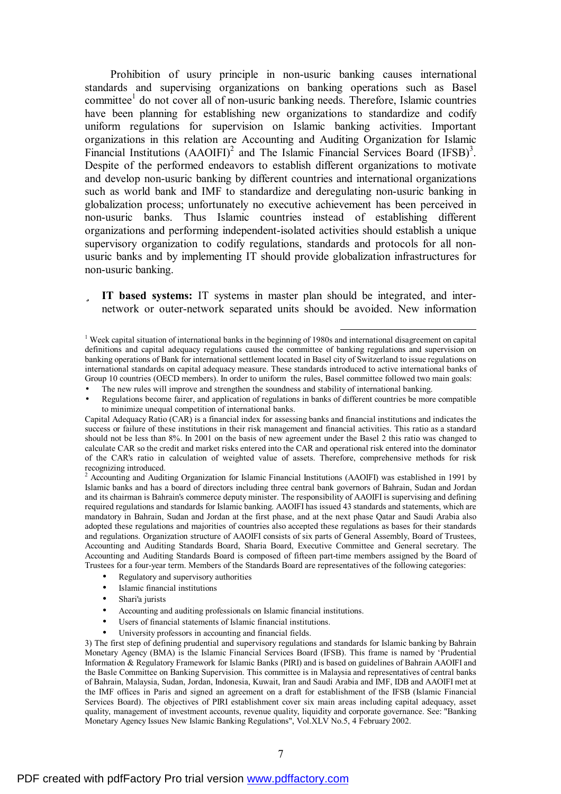Prohibition of usury principle in non-usuric banking causes international standards and supervising organizations on banking operations such as Basel committee<sup>1</sup> do not cover all of non-usuric banking needs. Therefore, Islamic countries have been planning for establishing new organizations to standardize and codify uniform regulations for supervision on Islamic banking activities. Important organizations in this relation are Accounting and Auditing Organization for Islamic Financial Institutions  $(AAOIFI)^2$  and The Islamic Financial Services Board  $(IFSB)^3$ . Despite of the performed endeavors to establish different organizations to motivate and develop non-usuric banking by different countries and international organizations such as world bank and IMF to standardize and deregulating non-usuric banking in globalization process; unfortunately no executive achievement has been perceived in non-usuric banks. Thus Islamic countries instead of establishing different organizations and performing independent-isolated activities should establish a unique supervisory organization to codify regulations, standards and protocols for all nonusuric banks and by implementing IT should provide globalization infrastructures for non-usuric banking.

ü **IT based systems:** IT systems in master plan should be integrated, and internetwork or outer-network separated units should be avoided. New information

 $\overline{a}$ 

<sup>2</sup> Accounting and Auditing Organization for Islamic Financial Institutions (AAOIFI) was established in 1991 by Islamic banks and has a board of directors including three central bank governors of Bahrain, Sudan and Jordan and its chairman is Bahrain's commerce deputy minister. The responsibility of AAOIFI is supervising and defining required regulations and standards for Islamic banking. AAOIFI has issued 43 standards and statements, which are mandatory in Bahrain, Sudan and Jordan at the first phase, and at the next phase Qatar and Saudi Arabia also adopted these regulations and majorities of countries also accepted these regulations as bases for their standards and regulations. Organization structure of AAOIFI consists of six parts of General Assembly, Board of Trustees, Accounting and Auditing Standards Board, Sharia Board, Executive Committee and General secretary. The Accounting and Auditing Standards Board is composed of fifteen part-time members assigned by the Board of Trustees for a four-year term. Members of the Standards Board are representatives of the following categories:

- Regulatory and supervisory authorities
- Islamic financial institutions
- Shari'a jurists
- Accounting and auditing professionals on Islamic financial institutions.
- Users of financial statements of Islamic financial institutions.
- University professors in accounting and financial fields.

3) The first step of defining prudential and supervisory regulations and standards for Islamic banking by Bahrain Monetary Agency (BMA) is the Islamic Financial Services Board (IFSB). This frame is named by 'Prudential Information & Regulatory Framework for Islamic Banks (PIRI) and is based on guidelines of Bahrain AAOIFI and the Basle Committee on Banking Supervision. This committee is in Malaysia and representatives of central banks of Bahrain, Malaysia, Sudan, Jordan, Indonesia, Kuwait, Iran and Saudi Arabia and IMF, IDB and AAOIFI met at the IMF offices in Paris and signed an agreement on a draft for establishment of the IFSB (Islamic Financial Services Board). The objectives of PIRI establishment cover six main areas including capital adequacy, asset quality, management of investment accounts, revenue quality, liquidity and corporate governance. See: "Banking Monetary Agency Issues New Islamic Banking Regulations", Vol.XLV No.5, 4 February 2002.

 $1$  Week capital situation of international banks in the beginning of 1980s and international disagreement on capital definitions and capital adequacy regulations caused the committee of banking regulations and supervision on banking operations of Bank for international settlement located in Basel city of Switzerland to issue regulations on international standards on capital adequacy measure. These standards introduced to active international banks of Group 10 countries (OECD members). In order to uniform the rules, Basel committee followed two main goals:

<sup>•</sup> The new rules will improve and strengthen the soundness and stability of international banking.

<sup>•</sup> Regulations become fairer, and application of regulations in banks of different countries be more compatible to minimize unequal competition of international banks.

Capital Adequacy Ratio (CAR) is a financial index for assessing banks and financial institutions and indicates the success or failure of these institutions in their risk management and financial activities. This ratio as a standard should not be less than 8%. In 2001 on the basis of new agreement under the Basel 2 this ratio was changed to calculate CAR so the credit and market risks entered into the CAR and operational risk entered into the dominator of the CAR's ratio in calculation of weighted value of assets. Therefore, comprehensive methods for risk recognizing introduced.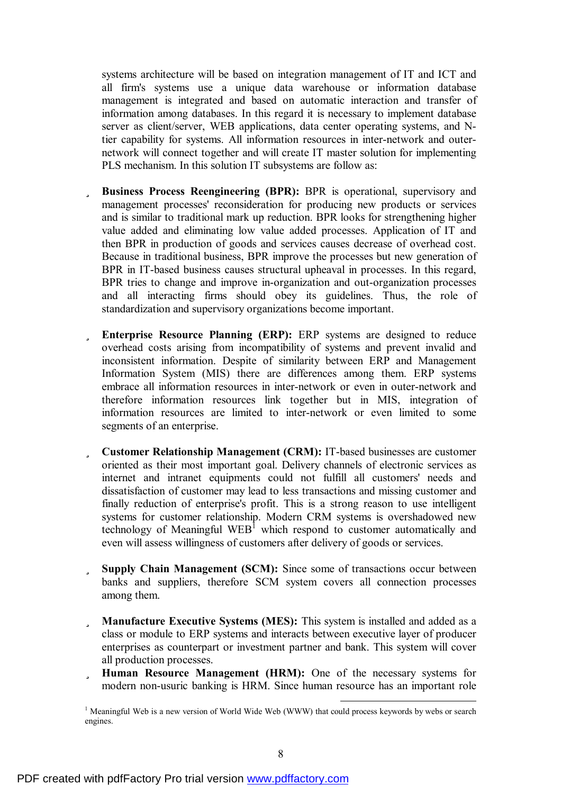systems architecture will be based on integration management of IT and ICT and all firm's systems use a unique data warehouse or information database management is integrated and based on automatic interaction and transfer of information among databases. In this regard it is necessary to implement database server as client/server, WEB applications, data center operating systems, and Ntier capability for systems. All information resources in inter-network and outernetwork will connect together and will create IT master solution for implementing PLS mechanism. In this solution IT subsystems are follow as:

- ü **Business Process Reengineering (BPR):** BPR is operational, supervisory and management processes' reconsideration for producing new products or services and is similar to traditional mark up reduction. BPR looks for strengthening higher value added and eliminating low value added processes. Application of IT and then BPR in production of goods and services causes decrease of overhead cost. Because in traditional business, BPR improve the processes but new generation of BPR in IT-based business causes structural upheaval in processes. In this regard, BPR tries to change and improve in-organization and out-organization processes and all interacting firms should obey its guidelines. Thus, the role of standardization and supervisory organizations become important.
- ü **Enterprise Resource Planning (ERP):** ERP systems are designed to reduce overhead costs arising from incompatibility of systems and prevent invalid and inconsistent information. Despite of similarity between ERP and Management Information System (MIS) there are differences among them. ERP systems embrace all information resources in inter-network or even in outer-network and therefore information resources link together but in MIS, integration of information resources are limited to inter-network or even limited to some segments of an enterprise.
- ü **Customer Relationship Management (CRM):** IT-based businesses are customer oriented as their most important goal. Delivery channels of electronic services as internet and intranet equipments could not fulfill all customers' needs and dissatisfaction of customer may lead to less transactions and missing customer and finally reduction of enterprise's profit. This is a strong reason to use intelligent systems for customer relationship. Modern CRM systems is overshadowed new technology of Meaningful  $WEB^{\dagger}$  which respond to customer automatically and even will assess willingness of customers after delivery of goods or services.
- ü **Supply Chain Management (SCM):** Since some of transactions occur between banks and suppliers, therefore SCM system covers all connection processes among them.
- ü **Manufacture Executive Systems (MES):** This system is installed and added as a class or module to ERP systems and interacts between executive layer of producer enterprises as counterpart or investment partner and bank. This system will cover all production processes.
- ü **Human Resource Management (HRM):** One of the necessary systems for modern non-usuric banking is HRM. Since human resource has an important role

 $1$  Meaningful Web is a new version of World Wide Web (WWW) that could process keywords by webs or search engines.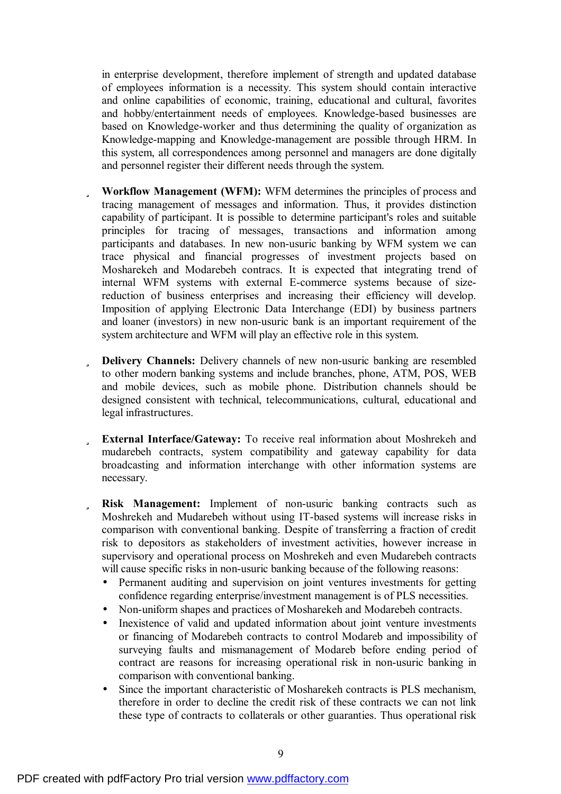in enterprise development, therefore implement of strength and updated database of employees information is a necessity. This system should contain interactive and online capabilities of economic, training, educational and cultural, favorites and hobby/entertainment needs of employees. Knowledge-based businesses are based on Knowledge-worker and thus determining the quality of organization as Knowledge-mapping and Knowledge-management are possible through HRM. In this system, all correspondences among personnel and managers are done digitally and personnel register their different needs through the system.

- ü **Workflow Management (WFM):** WFM determines the principles of process and tracing management of messages and information. Thus, it provides distinction capability of participant. It is possible to determine participant's roles and suitable principles for tracing of messages, transactions and information among participants and databases. In new non-usuric banking by WFM system we can trace physical and financial progresses of investment projects based on Mosharekeh and Modarebeh contracs. It is expected that integrating trend of internal WFM systems with external E-commerce systems because of sizereduction of business enterprises and increasing their efficiency will develop. Imposition of applying Electronic Data Interchange (EDI) by business partners and loaner (investors) in new non-usuric bank is an important requirement of the system architecture and WFM will play an effective role in this system.
- ü **Delivery Channels:** Delivery channels of new non-usuric banking are resembled to other modern banking systems and include branches, phone, ATM, POS, WEB and mobile devices, such as mobile phone. Distribution channels should be designed consistent with technical, telecommunications, cultural, educational and legal infrastructures.
- ü **External Interface/Gateway:** To receive real information about Moshrekeh and mudarebeh contracts, system compatibility and gateway capability for data broadcasting and information interchange with other information systems are necessary.
- ü **Risk Management:** Implement of non-usuric banking contracts such as Moshrekeh and Mudarebeh without using IT-based systems will increase risks in comparison with conventional banking. Despite of transferring a fraction of credit risk to depositors as stakeholders of investment activities, however increase in supervisory and operational process on Moshrekeh and even Mudarebeh contracts will cause specific risks in non-usuric banking because of the following reasons:
	- Permanent auditing and supervision on joint ventures investments for getting confidence regarding enterprise/investment management is of PLS necessities.
	- Non-uniform shapes and practices of Mosharekeh and Modarebeh contracts.
	- Inexistence of valid and updated information about joint venture investments or financing of Modarebeh contracts to control Modareb and impossibility of surveying faults and mismanagement of Modareb before ending period of contract are reasons for increasing operational risk in non-usuric banking in comparison with conventional banking.
	- Since the important characteristic of Mosharekeh contracts is PLS mechanism. therefore in order to decline the credit risk of these contracts we can not link these type of contracts to collaterals or other guaranties. Thus operational risk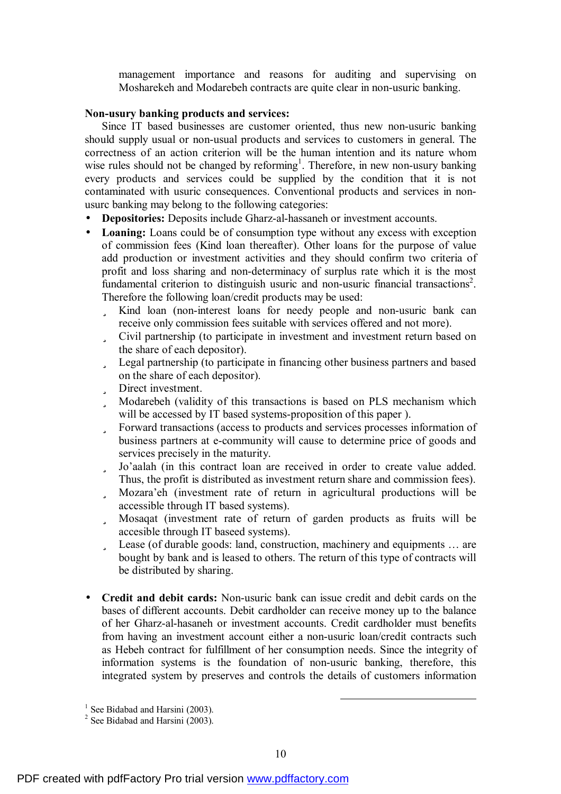management importance and reasons for auditing and supervising on Mosharekeh and Modarebeh contracts are quite clear in non-usuric banking.

### **Non-usury banking products and services:**

Since IT based businesses are customer oriented, thus new non-usuric banking should supply usual or non-usual products and services to customers in general. The correctness of an action criterion will be the human intention and its nature whom wise rules should not be changed by reforming<sup>1</sup>. Therefore, in new non-usury banking every products and services could be supplied by the condition that it is not contaminated with usuric consequences. Conventional products and services in nonusurc banking may belong to the following categories:

- **Depositories:** Deposits include Gharz-al-hassaneh or investment accounts.
- Loaning: Loans could be of consumption type without any excess with exception of commission fees (Kind loan thereafter). Other loans for the purpose of value add production or investment activities and they should confirm two criteria of profit and loss sharing and non-determinacy of surplus rate which it is the most fundamental criterion to distinguish usuric and non-usuric financial transactions<sup>2</sup>. Therefore the following loan/credit products may be used:
	- ü Kind loan (non-interest loans for needy people and non-usuric bank can receive only commission fees suitable with services offered and not more).
	- ü Civil partnership (to participate in investment and investment return based on the share of each depositor).
	- ü Legal partnership (to participate in financing other business partners and based on the share of each depositor).
	- ü Direct investment.
	- ü Modarebeh (validity of this transactions is based on PLS mechanism which will be accessed by IT based systems-proposition of this paper ).
	- ü Forward transactions (access to products and services processes information of business partners at e-community will cause to determine price of goods and services precisely in the maturity.
	- ü Jo'aalah (in this contract loan are received in order to create value added. Thus, the profit is distributed as investment return share and commission fees).
	- ü Mozara'eh (investment rate of return in agricultural productions will be accessible through IT based systems).
	- ü Mosaqat (investment rate of return of garden products as fruits will be accesible through IT baseed systems).
	- ü Lease (of durable goods: land, construction, machinery and equipments … are bought by bank and is leased to others. The return of this type of contracts will be distributed by sharing.
- **Credit and debit cards:** Non-usuric bank can issue credit and debit cards on the bases of different accounts. Debit cardholder can receive money up to the balance of her Gharz-al-hasaneh or investment accounts. Credit cardholder must benefits from having an investment account either a non-usuric loan/credit contracts such as Hebeh contract for fulfillment of her consumption needs. Since the integrity of information systems is the foundation of non-usuric banking, therefore, this integrated system by preserves and controls the details of customers information

<sup>&</sup>lt;sup>1</sup> See Bidabad and Harsini (2003).

<sup>&</sup>lt;sup>2</sup> See Bidabad and Harsini (2003).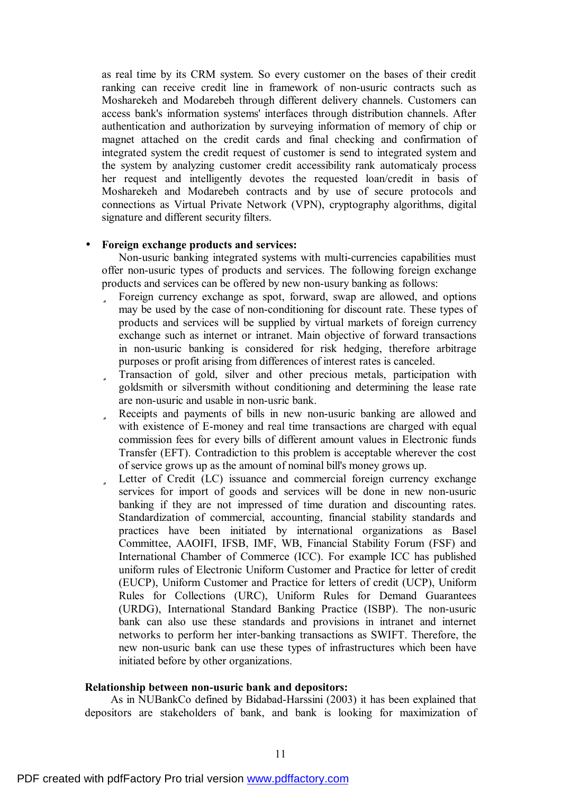as real time by its CRM system. So every customer on the bases of their credit ranking can receive credit line in framework of non-usuric contracts such as Mosharekeh and Modarebeh through different delivery channels. Customers can access bank's information systems' interfaces through distribution channels. After authentication and authorization by surveying information of memory of chip or magnet attached on the credit cards and final checking and confirmation of integrated system the credit request of customer is send to integrated system and the system by analyzing customer credit accessibility rank automaticaly process her request and intelligently devotes the requested loan/credit in basis of Mosharekeh and Modarebeh contracts and by use of secure protocols and connections as Virtual Private Network (VPN), cryptography algorithms, digital signature and different security filters.

## • **Foreign exchange products and services:**

Non-usuric banking integrated systems with multi-currencies capabilities must offer non-usuric types of products and services. The following foreign exchange products and services can be offered by new non-usury banking as follows:

- ü Foreign currency exchange as spot, forward, swap are allowed, and options may be used by the case of non-conditioning for discount rate. These types of products and services will be supplied by virtual markets of foreign currency exchange such as internet or intranet. Main objective of forward transactions in non-usuric banking is considered for risk hedging, therefore arbitrage purposes or profit arising from differences of interest rates is canceled.
- ü Transaction of gold, silver and other precious metals, participation with goldsmith or silversmith without conditioning and determining the lease rate are non-usuric and usable in non-usric bank.
- ü Receipts and payments of bills in new non-usuric banking are allowed and with existence of E-money and real time transactions are charged with equal commission fees for every bills of different amount values in Electronic funds Transfer (EFT). Contradiction to this problem is acceptable wherever the cost of service grows up as the amount of nominal bill's money grows up.
- ü Letter of Credit (LC) issuance and commercial foreign currency exchange services for import of goods and services will be done in new non-usuric banking if they are not impressed of time duration and discounting rates. Standardization of commercial, accounting, financial stability standards and practices have been initiated by international organizations as Basel Committee, AAOIFI, IFSB, IMF, WB, Financial Stability Forum (FSF) and International Chamber of Commerce (ICC). For example ICC has published uniform rules of Electronic Uniform Customer and Practice for letter of credit (EUCP), Uniform Customer and Practice for letters of credit (UCP), Uniform Rules for Collections (URC), Uniform Rules for Demand Guarantees (URDG), International Standard Banking Practice (ISBP). The non-usuric bank can also use these standards and provisions in intranet and internet networks to perform her inter-banking transactions as SWIFT. Therefore, the new non-usuric bank can use these types of infrastructures which been have initiated before by other organizations.

## **Relationship between non-usuric bank and depositors:**

 As in NUBankCo defined by Bidabad-Harssini (2003) it has been explained that depositors are stakeholders of bank, and bank is looking for maximization of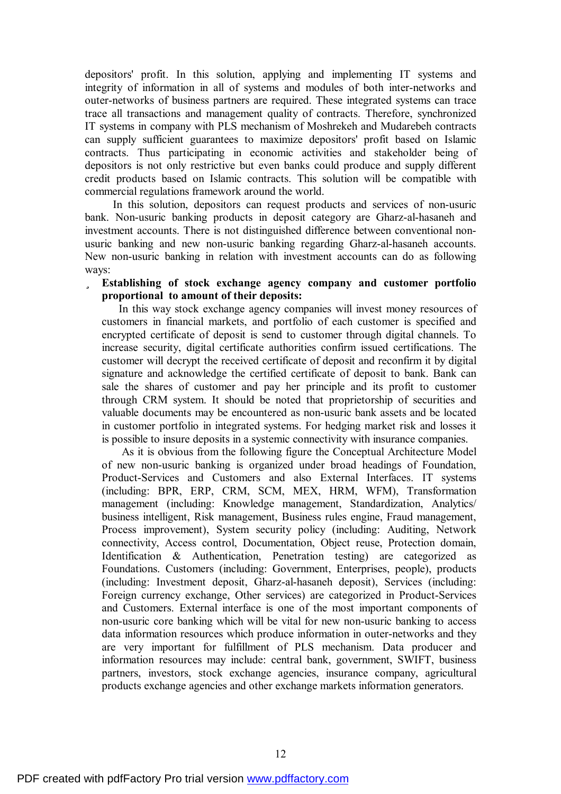depositors' profit. In this solution, applying and implementing IT systems and integrity of information in all of systems and modules of both inter-networks and outer-networks of business partners are required. These integrated systems can trace trace all transactions and management quality of contracts. Therefore, synchronized IT systems in company with PLS mechanism of Moshrekeh and Mudarebeh contracts can supply sufficient guarantees to maximize depositors' profit based on Islamic contracts. Thus participating in economic activities and stakeholder being of depositors is not only restrictive but even banks could produce and supply different credit products based on Islamic contracts. This solution will be compatible with commercial regulations framework around the world.

In this solution, depositors can request products and services of non-usuric bank. Non-usuric banking products in deposit category are Gharz-al-hasaneh and investment accounts. There is not distinguished difference between conventional nonusuric banking and new non-usuric banking regarding Gharz-al-hasaneh accounts. New non-usuric banking in relation with investment accounts can do as following ways:

ü **Establishing of stock exchange agency company and customer portfolio proportional to amount of their deposits:** 

In this way stock exchange agency companies will invest money resources of customers in financial markets, and portfolio of each customer is specified and encrypted certificate of deposit is send to customer through digital channels. To increase security, digital certificate authorities confirm issued certifications. The customer will decrypt the received certificate of deposit and reconfirm it by digital signature and acknowledge the certified certificate of deposit to bank. Bank can sale the shares of customer and pay her principle and its profit to customer through CRM system. It should be noted that proprietorship of securities and valuable documents may be encountered as non-usuric bank assets and be located in customer portfolio in integrated systems. For hedging market risk and losses it is possible to insure deposits in a systemic connectivity with insurance companies.

As it is obvious from the following figure the Conceptual Architecture Model of new non-usuric banking is organized under broad headings of Foundation, Product-Services and Customers and also External Interfaces. IT systems (including: BPR, ERP, CRM, SCM, MEX, HRM, WFM), Transformation management (including: Knowledge management, Standardization, Analytics/ business intelligent, Risk management, Business rules engine, Fraud management, Process improvement), System security policy (including: Auditing, Network connectivity, Access control, Documentation, Object reuse, Protection domain, Identification & Authentication, Penetration testing) are categorized as Foundations. Customers (including: Government, Enterprises, people), products (including: Investment deposit, Gharz-al-hasaneh deposit), Services (including: Foreign currency exchange, Other services) are categorized in Product-Services and Customers. External interface is one of the most important components of non-usuric core banking which will be vital for new non-usuric banking to access data information resources which produce information in outer-networks and they are very important for fulfillment of PLS mechanism. Data producer and information resources may include: central bank, government, SWIFT, business partners, investors, stock exchange agencies, insurance company, agricultural products exchange agencies and other exchange markets information generators.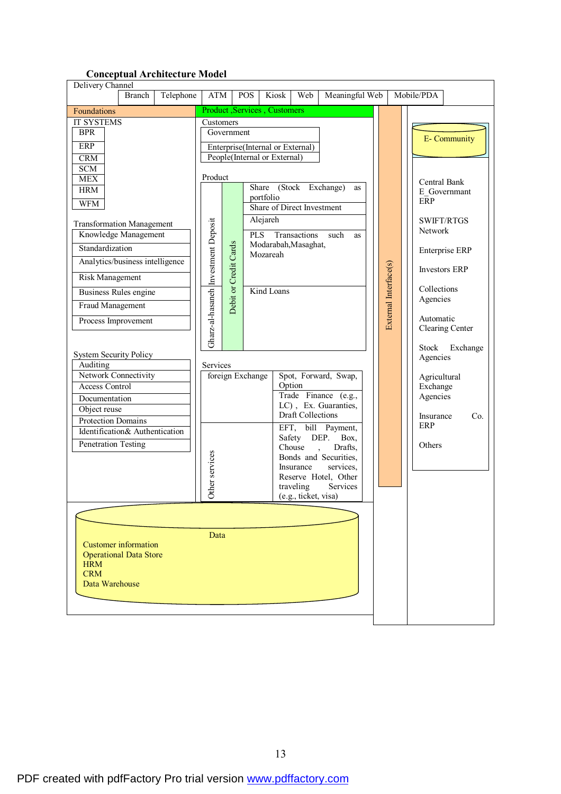# **Conceptual Architecture Model**

| Delivery Channel                                                                                                                                                                                                                                                                                                                                                                                                                                                                                                                                                                                                                                                       |        |           |                                                                                                   |                                     |                                         |                                                                                                                                                                                            |                                                                                                                                    |                                                                                                                                                                                                                            |                       |            |                                                                                                                                                                 |                                                                                                                                                                 |
|------------------------------------------------------------------------------------------------------------------------------------------------------------------------------------------------------------------------------------------------------------------------------------------------------------------------------------------------------------------------------------------------------------------------------------------------------------------------------------------------------------------------------------------------------------------------------------------------------------------------------------------------------------------------|--------|-----------|---------------------------------------------------------------------------------------------------|-------------------------------------|-----------------------------------------|--------------------------------------------------------------------------------------------------------------------------------------------------------------------------------------------|------------------------------------------------------------------------------------------------------------------------------------|----------------------------------------------------------------------------------------------------------------------------------------------------------------------------------------------------------------------------|-----------------------|------------|-----------------------------------------------------------------------------------------------------------------------------------------------------------------|-----------------------------------------------------------------------------------------------------------------------------------------------------------------|
|                                                                                                                                                                                                                                                                                                                                                                                                                                                                                                                                                                                                                                                                        | Branch | Telephone | ATM                                                                                               |                                     | <b>POS</b>                              | Kiosk                                                                                                                                                                                      | Web                                                                                                                                | Meaningful Web                                                                                                                                                                                                             |                       | Mobile/PDA |                                                                                                                                                                 |                                                                                                                                                                 |
| Foundations                                                                                                                                                                                                                                                                                                                                                                                                                                                                                                                                                                                                                                                            |        |           |                                                                                                   |                                     |                                         | Product, Services, Customers                                                                                                                                                               |                                                                                                                                    |                                                                                                                                                                                                                            |                       |            |                                                                                                                                                                 |                                                                                                                                                                 |
| <b>IT SYSTEMS</b><br><b>BPR</b><br><b>ERP</b><br><b>CRM</b><br><b>SCM</b><br><b>MEX</b><br><b>HRM</b><br><b>WFM</b><br><b>Transformation Management</b><br>Knowledge Management<br>Standardization<br>Analytics/business intelligence<br><b>Risk Management</b><br><b>Business Rules engine</b><br>Fraud Management<br>Process Improvement<br><b>System Security Policy</b><br>Auditing<br>Network Connectivity<br><b>Access Control</b><br>Documentation<br>Object reuse<br>Protection Domains<br>Identification& Authentication<br>Penetration Testing<br><b>Customer</b> information<br><b>Operational Data Store</b><br><b>HRM</b><br><b>CRM</b><br>Data Warehouse |        |           | Customers<br>Product<br>Gharz-al-hasaneh Investment Deposit<br>Services<br>Other services<br>Data | Government<br>Debit or Credit Cards | Share<br><b>PLS</b><br>foreign Exchange | Enterprise(Internal or External)<br>People(Internal or External)<br>portfolio<br><b>Share of Direct Investment</b><br>Alejareh<br>Modarabah, Masaghat,<br>Mozareah<br>Kind Loans<br>Option | (Stock Exchange)<br>Transactions<br><b>Draft Collections</b><br>Safety<br>Chouse<br>Insurance<br>traveling<br>(e.g., ticket, visa) | as<br>such<br><b>as</b><br>Spot, Forward, Swap,<br>Trade Finance (e.g.,<br>LC), Ex. Guaranties,<br>EFT, bill Payment,<br>DEP.<br>Box,<br>Drafts,<br>Bonds and Securities,<br>services,<br>Reserve Hotel, Other<br>Services | External Interface(s) |            | ERP<br>Network<br>Collections<br>Agencies<br>Automatic<br><b>Stock</b><br>Agencies<br>Agricultural<br>Exchange<br>Agencies<br>Insurance<br><b>ERP</b><br>Others | <b>E-</b> Community<br>Central Bank<br>E Governmant<br><b>SWIFT/RTGS</b><br><b>Enterprise ERP</b><br><b>Investors ERP</b><br>Clearing Center<br>Exchange<br>Co. |
|                                                                                                                                                                                                                                                                                                                                                                                                                                                                                                                                                                                                                                                                        |        |           |                                                                                                   |                                     |                                         |                                                                                                                                                                                            |                                                                                                                                    |                                                                                                                                                                                                                            |                       |            |                                                                                                                                                                 |                                                                                                                                                                 |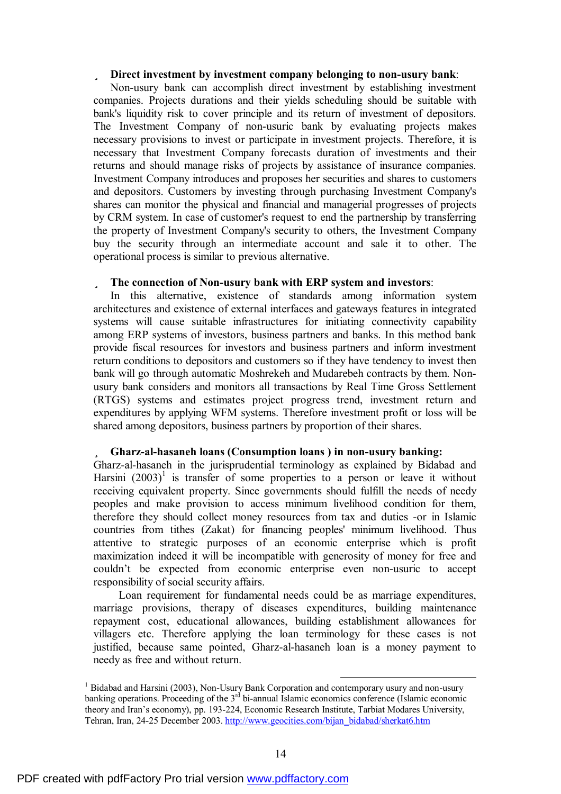### ü **Direct investment by investment company belonging to non-usury bank**:

Non-usury bank can accomplish direct investment by establishing investment companies. Projects durations and their yields scheduling should be suitable with bank's liquidity risk to cover principle and its return of investment of depositors. The Investment Company of non-usuric bank by evaluating projects makes necessary provisions to invest or participate in investment projects. Therefore, it is necessary that Investment Company forecasts duration of investments and their returns and should manage risks of projects by assistance of insurance companies. Investment Company introduces and proposes her securities and shares to customers and depositors. Customers by investing through purchasing Investment Company's shares can monitor the physical and financial and managerial progresses of projects by CRM system. In case of customer's request to end the partnership by transferring the property of Investment Company's security to others, the Investment Company buy the security through an intermediate account and sale it to other. The operational process is similar to previous alternative.

### ü **The connection of Non-usury bank with ERP system and investors**:

In this alternative, existence of standards among information system architectures and existence of external interfaces and gateways features in integrated systems will cause suitable infrastructures for initiating connectivity capability among ERP systems of investors, business partners and banks. In this method bank provide fiscal resources for investors and business partners and inform investment return conditions to depositors and customers so if they have tendency to invest then bank will go through automatic Moshrekeh and Mudarebeh contracts by them. Nonusury bank considers and monitors all transactions by Real Time Gross Settlement (RTGS) systems and estimates project progress trend, investment return and expenditures by applying WFM systems. Therefore investment profit or loss will be shared among depositors, business partners by proportion of their shares.

### ü **Gharz-al-hasaneh loans (Consumption loans ) in non-usury banking:**

Gharz-al-hasaneh in the jurisprudential terminology as explained by Bidabad and Harsini  $(2003)^1$  is transfer of some properties to a person or leave it without receiving equivalent property. Since governments should fulfill the needs of needy peoples and make provision to access minimum livelihood condition for them, therefore they should collect money resources from tax and duties -or in Islamic countries from tithes (Zakat) for financing peoples' minimum livelihood. Thus attentive to strategic purposes of an economic enterprise which is profit maximization indeed it will be incompatible with generosity of money for free and couldn't be expected from economic enterprise even non-usuric to accept responsibility of social security affairs.

Loan requirement for fundamental needs could be as marriage expenditures, marriage provisions, therapy of diseases expenditures, building maintenance repayment cost, educational allowances, building establishment allowances for villagers etc. Therefore applying the loan terminology for these cases is not justified, because same pointed, Gharz-al-hasaneh loan is a money payment to needy as free and without return.

 $<sup>1</sup>$  Bidabad and Harsini (2003), Non-Usury Bank Corporation and contemporary usury and non-usury</sup> banking operations. Proceeding of the 3<sup>rd</sup> bi-annual Islamic economics conference (Islamic economic theory and Iran's economy), pp. 193-224, Economic Research Institute, Tarbiat Modares University, Tehran, Iran, 24-25 December 2003. [http://www.geocities.com/bijan\\_bidabad/sherkat6.htm](http://www.geocities.com/bijan_bidabad/sherkat6.htm)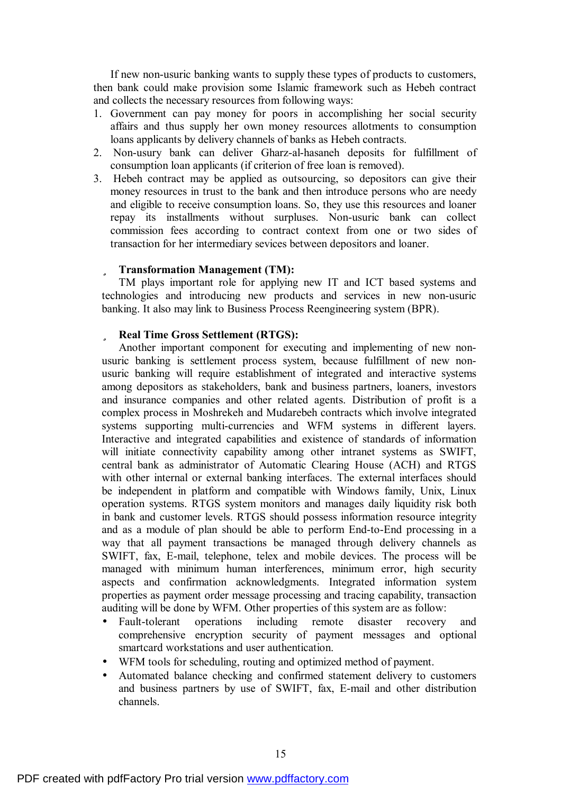If new non-usuric banking wants to supply these types of products to customers, then bank could make provision some Islamic framework such as Hebeh contract and collects the necessary resources from following ways:

- 1. Government can pay money for poors in accomplishing her social security affairs and thus supply her own money resources allotments to consumption loans applicants by delivery channels of banks as Hebeh contracts.
- 2. Non-usury bank can deliver Gharz-al-hasaneh deposits for fulfillment of consumption loan applicants (if criterion of free loan is removed).
- 3. Hebeh contract may be applied as outsourcing, so depositors can give their money resources in trust to the bank and then introduce persons who are needy and eligible to receive consumption loans. So, they use this resources and loaner repay its installments without surpluses. Non-usuric bank can collect commission fees according to contract context from one or two sides of transaction for her intermediary sevices between depositors and loaner.

## ü **Transformation Management (TM):**

TM plays important role for applying new IT and ICT based systems and technologies and introducing new products and services in new non-usuric banking. It also may link to Business Process Reengineering system (BPR).

# ü **Real Time Gross Settlement (RTGS):**

Another important component for executing and implementing of new nonusuric banking is settlement process system, because fulfillment of new nonusuric banking will require establishment of integrated and interactive systems among depositors as stakeholders, bank and business partners, loaners, investors and insurance companies and other related agents. Distribution of profit is a complex process in Moshrekeh and Mudarebeh contracts which involve integrated systems supporting multi-currencies and WFM systems in different layers. Interactive and integrated capabilities and existence of standards of information will initiate connectivity capability among other intranet systems as SWIFT, central bank as administrator of Automatic Clearing House (ACH) and RTGS with other internal or external banking interfaces. The external interfaces should be independent in platform and compatible with Windows family, Unix, Linux operation systems. RTGS system monitors and manages daily liquidity risk both in bank and customer levels. RTGS should possess information resource integrity and as a module of plan should be able to perform End-to-End processing in a way that all payment transactions be managed through delivery channels as SWIFT, fax, E-mail, telephone, telex and mobile devices. The process will be managed with minimum human interferences, minimum error, high security aspects and confirmation acknowledgments. Integrated information system properties as payment order message processing and tracing capability, transaction auditing will be done by WFM. Other properties of this system are as follow:

- Fault-tolerant operations including remote disaster recovery and comprehensive encryption security of payment messages and optional smartcard workstations and user authentication.
- WFM tools for scheduling, routing and optimized method of payment.
- Automated balance checking and confirmed statement delivery to customers and business partners by use of SWIFT, fax, E-mail and other distribution channels.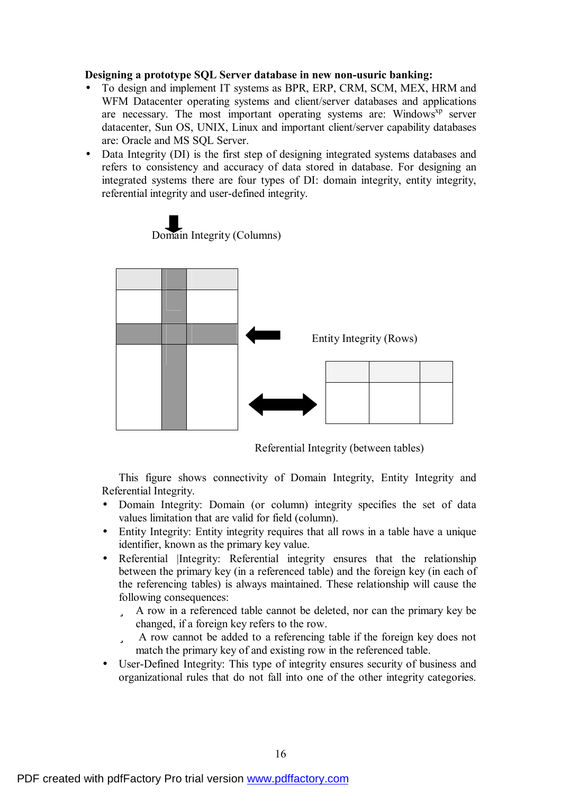## **Designing a prototype SQL Server database in new non-usuric banking:**

- To design and implement IT systems as BPR, ERP, CRM, SCM, MEX, HRM and WFM Datacenter operating systems and client/server databases and applications are necessary. The most important operating systems are: Windows<sup>xp</sup> server datacenter, Sun OS, UNIX, Linux and important client/server capability databases are: Oracle and MS SQL Server.
- Data Integrity (DI) is the first step of designing integrated systems databases and refers to consistency and accuracy of data stored in database. For designing an integrated systems there are four types of DI: domain integrity, entity integrity, referential integrity and user-defined integrity.



Domain Integrity (Columns)

Referential Integrity (between tables)

This figure shows connectivity of Domain Integrity, Entity Integrity and Referential Integrity.

- Domain Integrity: Domain (or column) integrity specifies the set of data values limitation that are valid for field (column).
- Entity Integrity: Entity integrity requires that all rows in a table have a unique identifier, known as the primary key value.
- Referential Integrity: Referential integrity ensures that the relationship between the primary key (in a referenced table) and the foreign key (in each of the referencing tables) is always maintained. These relationship will cause the following consequences:
	- ü A row in a referenced table cannot be deleted, nor can the primary key be changed, if a foreign key refers to the row.
	- ü A row cannot be added to a referencing table if the foreign key does not match the primary key of and existing row in the referenced table.
- User-Defined Integrity: This type of integrity ensures security of business and organizational rules that do not fall into one of the other integrity categories.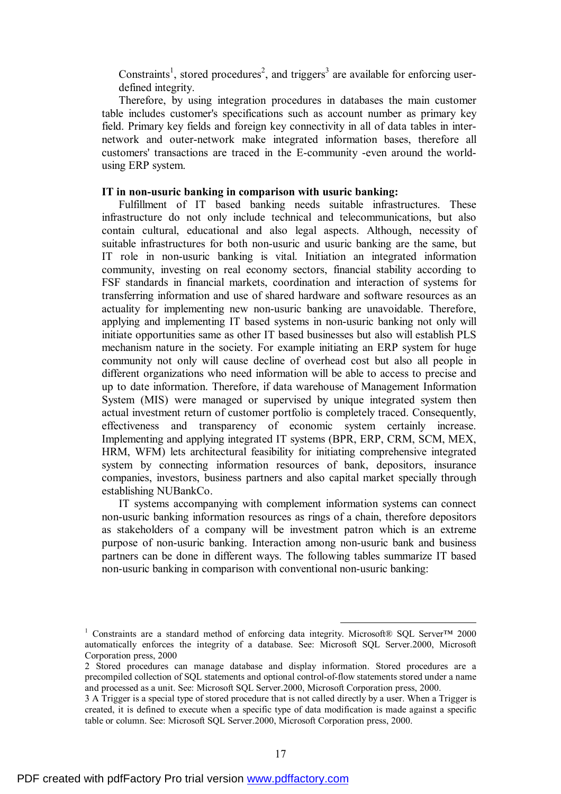Constraints<sup>1</sup>, stored procedures<sup>2</sup>, and triggers<sup>3</sup> are available for enforcing userdefined integrity.

Therefore, by using integration procedures in databases the main customer table includes customer's specifications such as account number as primary key field. Primary key fields and foreign key connectivity in all of data tables in internetwork and outer-network make integrated information bases, therefore all customers' transactions are traced in the E-community -even around the worldusing ERP system.

# **IT in non-usuric banking in comparison with usuric banking:**

Fulfillment of IT based banking needs suitable infrastructures. These infrastructure do not only include technical and telecommunications, but also contain cultural, educational and also legal aspects. Although, necessity of suitable infrastructures for both non-usuric and usuric banking are the same, but IT role in non-usuric banking is vital. Initiation an integrated information community, investing on real economy sectors, financial stability according to FSF standards in financial markets, coordination and interaction of systems for transferring information and use of shared hardware and software resources as an actuality for implementing new non-usuric banking are unavoidable. Therefore, applying and implementing IT based systems in non-usuric banking not only will initiate opportunities same as other IT based businesses but also will establish PLS mechanism nature in the society. For example initiating an ERP system for huge community not only will cause decline of overhead cost but also all people in different organizations who need information will be able to access to precise and up to date information. Therefore, if data warehouse of Management Information System (MIS) were managed or supervised by unique integrated system then actual investment return of customer portfolio is completely traced. Consequently, effectiveness and transparency of economic system certainly increase. Implementing and applying integrated IT systems (BPR, ERP, CRM, SCM, MEX, HRM, WFM) lets architectural feasibility for initiating comprehensive integrated system by connecting information resources of bank, depositors, insurance companies, investors, business partners and also capital market specially through establishing NUBankCo.

IT systems accompanying with complement information systems can connect non-usuric banking information resources as rings of a chain, therefore depositors as stakeholders of a company will be investment patron which is an extreme purpose of non-usuric banking. Interaction among non-usuric bank and business partners can be done in different ways. The following tables summarize IT based non-usuric banking in comparison with conventional non-usuric banking:

<sup>1</sup> Constraints are a standard method of enforcing data integrity. Microsoft® SQL Server™ 2000 automatically enforces the integrity of a database. See: Microsoft SQL Server.2000, Microsoft Corporation press, 2000

<sup>2</sup> Stored procedures can manage database and display information. Stored procedures are a precompiled collection of SQL statements and optional control-of-flow statements stored under a name and processed as a unit. See: Microsoft SQL Server.2000, Microsoft Corporation press, 2000.

<sup>3</sup> A Trigger is a special type of stored procedure that is not called directly by a user. When a Trigger is created, it is defined to execute when a specific type of data modification is made against a specific table or column. See: Microsoft SQL Server.2000, Microsoft Corporation press, 2000.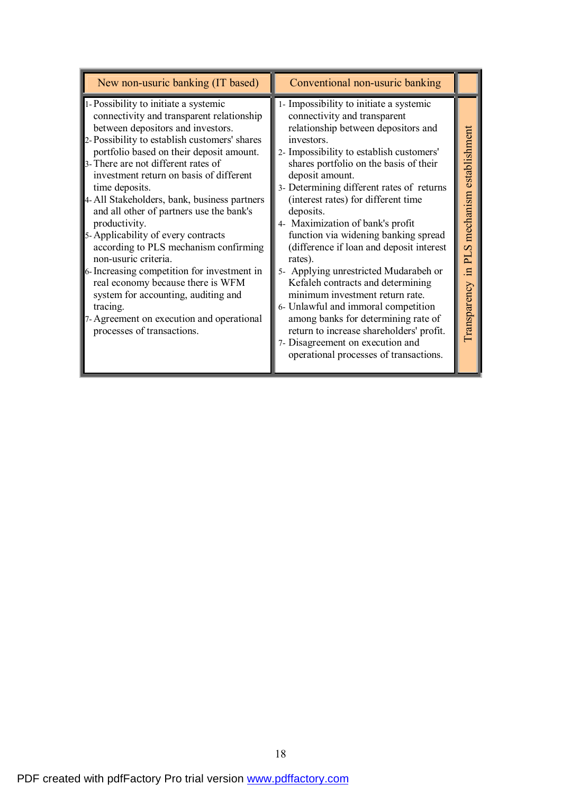| New non-usuric banking (IT based)                                                                                                                                                                                                                                                                                                                                                                                                                                                                                                                                                                                                                                                                                                                             | Conventional non-usuric banking                                                                                                                                                                                                                                                                                                                                                                                                                                                                                                                                                                                                                                                                                                                                                                    |                                                   |
|---------------------------------------------------------------------------------------------------------------------------------------------------------------------------------------------------------------------------------------------------------------------------------------------------------------------------------------------------------------------------------------------------------------------------------------------------------------------------------------------------------------------------------------------------------------------------------------------------------------------------------------------------------------------------------------------------------------------------------------------------------------|----------------------------------------------------------------------------------------------------------------------------------------------------------------------------------------------------------------------------------------------------------------------------------------------------------------------------------------------------------------------------------------------------------------------------------------------------------------------------------------------------------------------------------------------------------------------------------------------------------------------------------------------------------------------------------------------------------------------------------------------------------------------------------------------------|---------------------------------------------------|
| 1- Possibility to initiate a systemic<br>connectivity and transparent relationship<br>between depositors and investors.<br>2- Possibility to establish customers' shares<br>portfolio based on their deposit amount.<br>3- There are not different rates of<br>investment return on basis of different<br>time deposits.<br>4- All Stakeholders, bank, business partners<br>and all other of partners use the bank's<br>productivity.<br>5-Applicability of every contracts<br>according to PLS mechanism confirming<br>non-usuric criteria.<br>6- Increasing competition for investment in<br>real economy because there is WFM<br>system for accounting, auditing and<br>tracing.<br>7-Agreement on execution and operational<br>processes of transactions. | 1- Impossibility to initiate a systemic<br>connectivity and transparent<br>relationship between depositors and<br>investors.<br>2- Impossibility to establish customers'<br>shares portfolio on the basis of their<br>deposit amount.<br>3- Determining different rates of returns<br>(interest rates) for different time<br>deposits.<br>4- Maximization of bank's profit<br>function via widening banking spread<br>(difference if loan and deposit interest<br>rates).<br>5- Applying unrestricted Mudarabeh or<br>Kefaleh contracts and determining<br>minimum investment return rate.<br>6- Unlawful and immoral competition<br>among banks for determining rate of<br>return to increase shareholders' profit.<br>7- Disagreement on execution and<br>operational processes of transactions. | mechanism establishment<br>in PLS<br>Transparency |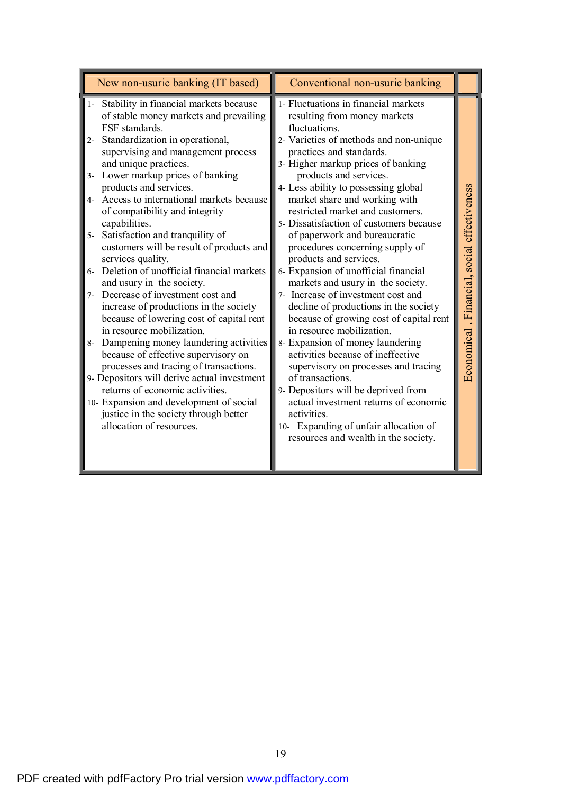| New non-usuric banking (IT based)                                                                                                                                                                                                                                                                                                                                                                                                                                                                                                                                                                                                                                                                                                                                                                                                                                                                                                                                                                                                                                                              | Conventional non-usuric banking                                                                                                                                                                                                                                                                                                                                                                                                                                                                                                                                                                                                                                                                                                                                                                                                                                                                                                                                                                                                            |                                             |
|------------------------------------------------------------------------------------------------------------------------------------------------------------------------------------------------------------------------------------------------------------------------------------------------------------------------------------------------------------------------------------------------------------------------------------------------------------------------------------------------------------------------------------------------------------------------------------------------------------------------------------------------------------------------------------------------------------------------------------------------------------------------------------------------------------------------------------------------------------------------------------------------------------------------------------------------------------------------------------------------------------------------------------------------------------------------------------------------|--------------------------------------------------------------------------------------------------------------------------------------------------------------------------------------------------------------------------------------------------------------------------------------------------------------------------------------------------------------------------------------------------------------------------------------------------------------------------------------------------------------------------------------------------------------------------------------------------------------------------------------------------------------------------------------------------------------------------------------------------------------------------------------------------------------------------------------------------------------------------------------------------------------------------------------------------------------------------------------------------------------------------------------------|---------------------------------------------|
| Stability in financial markets because<br>$1-$<br>of stable money markets and prevailing<br>FSF standards.<br>Standardization in operational,<br>$2 -$<br>supervising and management process<br>and unique practices.<br>Lower markup prices of banking<br>$3-$<br>products and services.<br>Access to international markets because<br>$4-$<br>of compatibility and integrity<br>capabilities.<br>Satisfaction and tranquility of<br>$5-$<br>customers will be result of products and<br>services quality.<br>Deletion of unofficial financial markets<br>$6-$<br>and usury in the society.<br>Decrease of investment cost and<br>$7-$<br>increase of productions in the society<br>because of lowering cost of capital rent<br>in resource mobilization.<br>Dampening money laundering activities<br>$8-$<br>because of effective supervisory on<br>processes and tracing of transactions.<br>9- Depositors will derive actual investment<br>returns of economic activities.<br>10- Expansion and development of social<br>justice in the society through better<br>allocation of resources. | 1- Fluctuations in financial markets<br>resulting from money markets<br>fluctuations.<br>2- Varieties of methods and non-unique<br>practices and standards.<br>3- Higher markup prices of banking<br>products and services.<br>4- Less ability to possessing global<br>market share and working with<br>restricted market and customers.<br>5- Dissatisfaction of customers because<br>of paperwork and bureaucratic<br>procedures concerning supply of<br>products and services.<br>6- Expansion of unofficial financial<br>markets and usury in the society.<br>7- Increase of investment cost and<br>decline of productions in the society<br>because of growing cost of capital rent<br>in resource mobilization.<br>8- Expansion of money laundering<br>activities because of ineffective<br>supervisory on processes and tracing<br>of transactions.<br>9- Depositors will be deprived from<br>actual investment returns of economic<br>activities.<br>10- Expanding of unfair allocation of<br>resources and wealth in the society. | Economical, Financial, social effectiveness |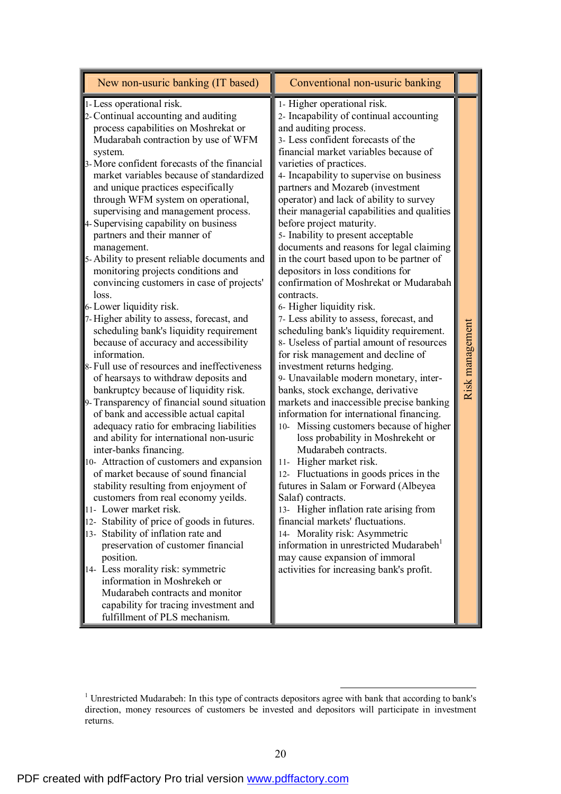| New non-usuric banking (IT based)                                                                                                                                                                                                                                                                                                                                                                                                                                                                                                                                                                                                                                                                                                                                                                                                                                                                                                                                                                                                                                                                                                                                                                                                                                                                                                                                                                                                                                                                                                                                                                                                                              | Conventional non-usuric banking                                                                                                                                                                                                                                                                                                                                                                                                                                                                                                                                                                                                                                                                                                                                                                                                                                                                                                                                                                                                                                                                                                                                                                                                                                                                                                                                                                                                                                                                                                                              |                 |
|----------------------------------------------------------------------------------------------------------------------------------------------------------------------------------------------------------------------------------------------------------------------------------------------------------------------------------------------------------------------------------------------------------------------------------------------------------------------------------------------------------------------------------------------------------------------------------------------------------------------------------------------------------------------------------------------------------------------------------------------------------------------------------------------------------------------------------------------------------------------------------------------------------------------------------------------------------------------------------------------------------------------------------------------------------------------------------------------------------------------------------------------------------------------------------------------------------------------------------------------------------------------------------------------------------------------------------------------------------------------------------------------------------------------------------------------------------------------------------------------------------------------------------------------------------------------------------------------------------------------------------------------------------------|--------------------------------------------------------------------------------------------------------------------------------------------------------------------------------------------------------------------------------------------------------------------------------------------------------------------------------------------------------------------------------------------------------------------------------------------------------------------------------------------------------------------------------------------------------------------------------------------------------------------------------------------------------------------------------------------------------------------------------------------------------------------------------------------------------------------------------------------------------------------------------------------------------------------------------------------------------------------------------------------------------------------------------------------------------------------------------------------------------------------------------------------------------------------------------------------------------------------------------------------------------------------------------------------------------------------------------------------------------------------------------------------------------------------------------------------------------------------------------------------------------------------------------------------------------------|-----------------|
| 1- Less operational risk.<br>2- Continual accounting and auditing<br>process capabilities on Moshrekat or<br>Mudarabah contraction by use of WFM<br>system.<br>3- More confident forecasts of the financial<br>market variables because of standardized<br>and unique practices especifically<br>through WFM system on operational,<br>supervising and management process.<br>4- Supervising capability on business<br>partners and their manner of<br>management.<br>5-Ability to present reliable documents and<br>monitoring projects conditions and<br>convincing customers in case of projects'<br>loss.<br>6-Lower liquidity risk.<br>7-Higher ability to assess, forecast, and<br>scheduling bank's liquidity requirement<br>because of accuracy and accessibility<br>information.<br>8- Full use of resources and ineffectiveness<br>of hearsays to withdraw deposits and<br>bankruptcy because of liquidity risk.<br>9- Transparency of financial sound situation<br>of bank and accessible actual capital<br>adequacy ratio for embracing liabilities<br>and ability for international non-usuric<br>inter-banks financing.<br>10- Attraction of customers and expansion<br>of market because of sound financial<br>stability resulting from enjoyment of<br>customers from real economy yeilds.<br>11- Lower market risk.<br>12- Stability of price of goods in futures.<br>13- Stability of inflation rate and<br>preservation of customer financial<br>position.<br>14- Less morality risk: symmetric<br>information in Moshrekeh or<br>Mudarabeh contracts and monitor<br>capability for tracing investment and<br>fulfillment of PLS mechanism. | 1- Higher operational risk.<br>2- Incapability of continual accounting<br>and auditing process.<br>3- Less confident forecasts of the<br>financial market variables because of<br>varieties of practices.<br>4- Incapability to supervise on business<br>partners and Mozareb (investment<br>operator) and lack of ability to survey<br>their managerial capabilities and qualities<br>before project maturity.<br>5- Inability to present acceptable<br>documents and reasons for legal claiming<br>in the court based upon to be partner of<br>depositors in loss conditions for<br>confirmation of Moshrekat or Mudarabah<br>contracts.<br>6- Higher liquidity risk.<br>7- Less ability to assess, forecast, and<br>scheduling bank's liquidity requirement.<br>8- Useless of partial amount of resources<br>for risk management and decline of<br>investment returns hedging.<br>9- Unavailable modern monetary, inter-<br>banks, stock exchange, derivative<br>markets and inaccessible precise banking<br>information for international financing.<br>10- Missing customers because of higher<br>loss probability in Moshrekeht or<br>Mudarabeh contracts.<br>Higher market risk.<br>$11 -$<br>12- Fluctuations in goods prices in the<br>futures in Salam or Forward (Albeyea<br>Salaf) contracts.<br>13- Higher inflation rate arising from<br>financial markets' fluctuations.<br>14- Morality risk: Asymmetric<br>information in unrestricted Mudarabeh <sup>1</sup><br>may cause expansion of immoral<br>activities for increasing bank's profit. | Risk management |

<sup>&</sup>lt;sup>1</sup> Unrestricted Mudarabeh: In this type of contracts depositors agree with bank that according to bank's direction, money resources of customers be invested and depositors will participate in investment returns.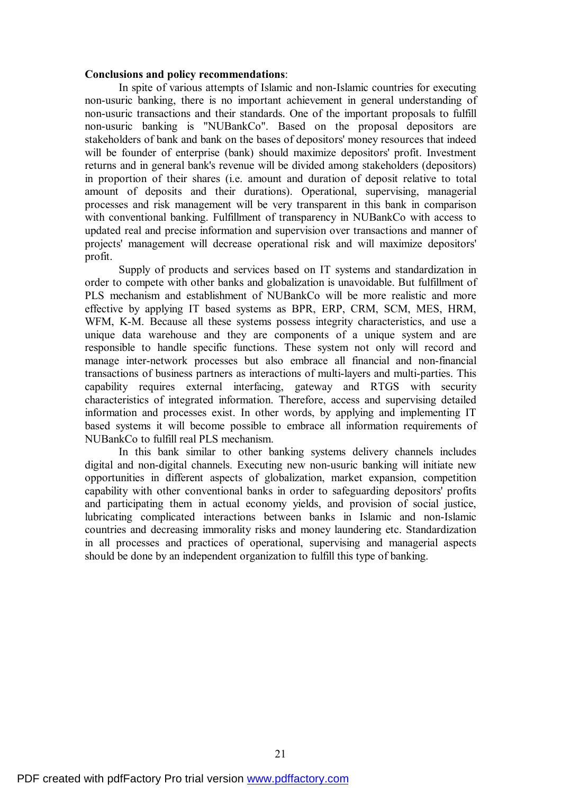### **Conclusions and policy recommendations**:

In spite of various attempts of Islamic and non-Islamic countries for executing non-usuric banking, there is no important achievement in general understanding of non-usuric transactions and their standards. One of the important proposals to fulfill non-usuric banking is "NUBankCo". Based on the proposal depositors are stakeholders of bank and bank on the bases of depositors' money resources that indeed will be founder of enterprise (bank) should maximize depositors' profit. Investment returns and in general bank's revenue will be divided among stakeholders (depositors) in proportion of their shares (i.e. amount and duration of deposit relative to total amount of deposits and their durations). Operational, supervising, managerial processes and risk management will be very transparent in this bank in comparison with conventional banking. Fulfillment of transparency in NUBankCo with access to updated real and precise information and supervision over transactions and manner of projects' management will decrease operational risk and will maximize depositors' profit.

Supply of products and services based on IT systems and standardization in order to compete with other banks and globalization is unavoidable. But fulfillment of PLS mechanism and establishment of NUBankCo will be more realistic and more effective by applying IT based systems as BPR, ERP, CRM, SCM, MES, HRM, WFM, K-M. Because all these systems possess integrity characteristics, and use a unique data warehouse and they are components of a unique system and are responsible to handle specific functions. These system not only will record and manage inter-network processes but also embrace all financial and non-financial transactions of business partners as interactions of multi-layers and multi-parties. This capability requires external interfacing, gateway and RTGS with security characteristics of integrated information. Therefore, access and supervising detailed information and processes exist. In other words, by applying and implementing IT based systems it will become possible to embrace all information requirements of NUBankCo to fulfill real PLS mechanism.

In this bank similar to other banking systems delivery channels includes digital and non-digital channels. Executing new non-usuric banking will initiate new opportunities in different aspects of globalization, market expansion, competition capability with other conventional banks in order to safeguarding depositors' profits and participating them in actual economy yields, and provision of social justice, lubricating complicated interactions between banks in Islamic and non-Islamic countries and decreasing immorality risks and money laundering etc. Standardization in all processes and practices of operational, supervising and managerial aspects should be done by an independent organization to fulfill this type of banking.